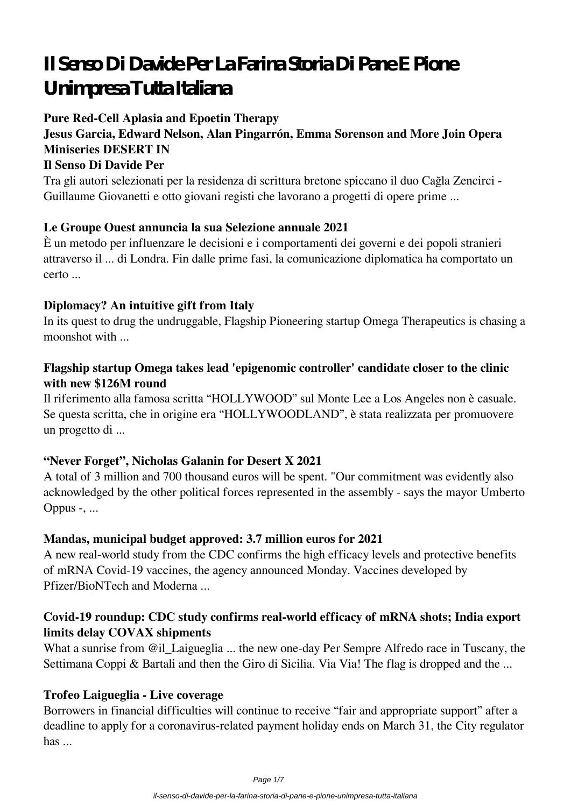# **Il Senso Di Davide Per La Farina Storia Di Pane E Pione Unimpresa Tutta Italiana**

## **Pure Red-Cell Aplasia and Epoetin Therapy**

# **Jesus Garcia, Edward Nelson, Alan Pingarrón, Emma Sorenson and More Join Opera Miniseries DESERT IN**

## **Il Senso Di Davide Per**

Tra gli autori selezionati per la residenza di scrittura bretone spiccano il duo Cağla Zencirci - Guillaume Giovanetti e otto giovani registi che lavorano a progetti di opere prime ...

#### **Le Groupe Ouest annuncia la sua Selezione annuale 2021**

È un metodo per influenzare le decisioni e i comportamenti dei governi e dei popoli stranieri attraverso il ... di Londra. Fin dalle prime fasi, la comunicazione diplomatica ha comportato un certo ...

#### **Diplomacy? An intuitive gift from Italy**

In its quest to drug the undruggable, Flagship Pioneering startup Omega Therapeutics is chasing a moonshot with ...

#### **Flagship startup Omega takes lead 'epigenomic controller' candidate closer to the clinic with new \$126M round**

Il riferimento alla famosa scritta "HOLLYWOOD" sul Monte Lee a Los Angeles non è casuale. Se questa scritta, che in origine era "HOLLYWOODLAND", è stata realizzata per promuovere un progetto di ...

#### **"Never Forget", Nicholas Galanin for Desert X 2021**

A total of 3 million and 700 thousand euros will be spent. "Our commitment was evidently also acknowledged by the other political forces represented in the assembly - says the mayor Umberto Oppus -, ...

#### **Mandas, municipal budget approved: 3.7 million euros for 2021**

A new real-world study from the CDC confirms the high efficacy levels and protective benefits of mRNA Covid-19 vaccines, the agency announced Monday. Vaccines developed by Pfizer/BioNTech and Moderna ...

#### **Covid-19 roundup: CDC study confirms real-world efficacy of mRNA shots; India export limits delay COVAX shipments**

What a sunrise from @il\_Laigueglia ... the new one-day Per Sempre Alfredo race in Tuscany, the Settimana Coppi & Bartali and then the Giro di Sicilia. Via Via! The flag is dropped and the ...

#### **Trofeo Laigueglia - Live coverage**

Borrowers in financial difficulties will continue to receive "fair and appropriate support" after a deadline to apply for a coronavirus-related payment holiday ends on March 31, the City regulator has ...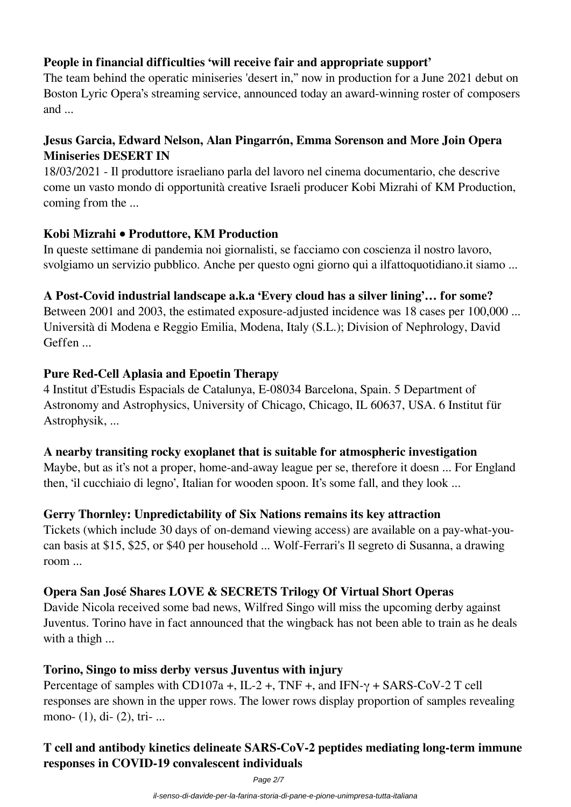# **People in financial difficulties 'will receive fair and appropriate support'**

The team behind the operatic miniseries 'desert in," now in production for a June 2021 debut on Boston Lyric Opera's streaming service, announced today an award-winning roster of composers and ...

## **Jesus Garcia, Edward Nelson, Alan Pingarrón, Emma Sorenson and More Join Opera Miniseries DESERT IN**

18/03/2021 - Il produttore israeliano parla del lavoro nel cinema documentario, che descrive come un vasto mondo di opportunità creative Israeli producer Kobi Mizrahi of KM Production, coming from the ...

#### **Kobi Mizrahi • Produttore, KM Production**

In queste settimane di pandemia noi giornalisti, se facciamo con coscienza il nostro lavoro, svolgiamo un servizio pubblico. Anche per questo ogni giorno qui a ilfattoquotidiano.it siamo ...

#### **A Post-Covid industrial landscape a.k.a 'Every cloud has a silver lining'… for some?**

Between 2001 and 2003, the estimated exposure-adjusted incidence was 18 cases per 100,000 ... Università di Modena e Reggio Emilia, Modena, Italy (S.L.); Division of Nephrology, David Geffen ...

#### **Pure Red-Cell Aplasia and Epoetin Therapy**

4 Institut d'Estudis Espacials de Catalunya, E-08034 Barcelona, Spain. 5 Department of Astronomy and Astrophysics, University of Chicago, Chicago, IL 60637, USA. 6 Institut für Astrophysik, ...

#### **A nearby transiting rocky exoplanet that is suitable for atmospheric investigation**

Maybe, but as it's not a proper, home-and-away league per se, therefore it doesn ... For England then, 'il cucchiaio di legno', Italian for wooden spoon. It's some fall, and they look ...

#### **Gerry Thornley: Unpredictability of Six Nations remains its key attraction**

Tickets (which include 30 days of on-demand viewing access) are available on a pay-what-youcan basis at \$15, \$25, or \$40 per household ... Wolf-Ferrari's Il segreto di Susanna, a drawing room ...

#### **Opera San José Shares LOVE & SECRETS Trilogy Of Virtual Short Operas**

Davide Nicola received some bad news, Wilfred Singo will miss the upcoming derby against Juventus. Torino have in fact announced that the wingback has not been able to train as he deals with a thigh ...

#### **Torino, Singo to miss derby versus Juventus with injury**

Percentage of samples with CD107a +, IL-2 +, TNF +, and IFN-γ + SARS-CoV-2 T cell responses are shown in the upper rows. The lower rows display proportion of samples revealing mono- (1), di- (2), tri- ...

# **T cell and antibody kinetics delineate SARS-CoV-2 peptides mediating long-term immune responses in COVID-19 convalescent individuals**

Page 2/7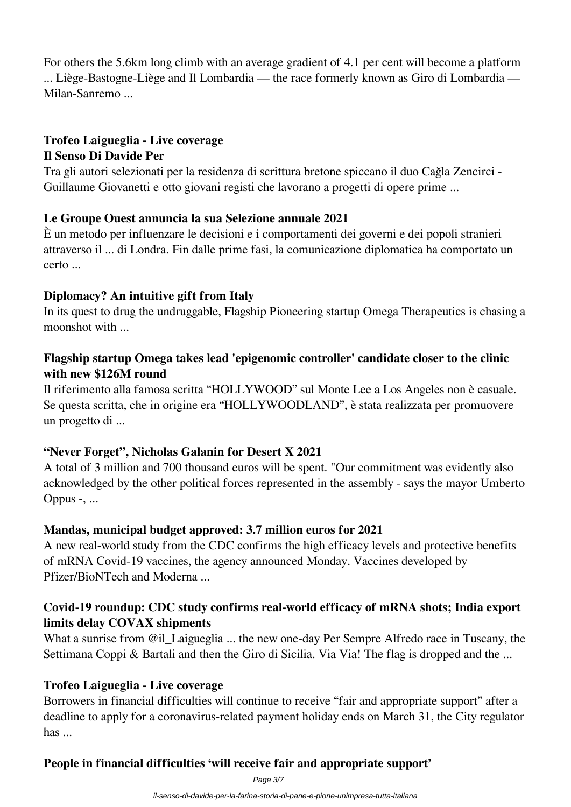For others the 5.6km long climb with an average gradient of 4.1 per cent will become a platform ... Liège-Bastogne-Liège and Il Lombardia — the race formerly known as Giro di Lombardia — Milan-Sanremo ...

#### **Trofeo Laigueglia - Live coverage Il Senso Di Davide Per**

Tra gli autori selezionati per la residenza di scrittura bretone spiccano il duo Cağla Zencirci - Guillaume Giovanetti e otto giovani registi che lavorano a progetti di opere prime ...

#### **Le Groupe Ouest annuncia la sua Selezione annuale 2021**

È un metodo per influenzare le decisioni e i comportamenti dei governi e dei popoli stranieri attraverso il ... di Londra. Fin dalle prime fasi, la comunicazione diplomatica ha comportato un certo ...

## **Diplomacy? An intuitive gift from Italy**

In its quest to drug the undruggable, Flagship Pioneering startup Omega Therapeutics is chasing a moonshot with ...

## **Flagship startup Omega takes lead 'epigenomic controller' candidate closer to the clinic with new \$126M round**

Il riferimento alla famosa scritta "HOLLYWOOD" sul Monte Lee a Los Angeles non è casuale. Se questa scritta, che in origine era "HOLLYWOODLAND", è stata realizzata per promuovere un progetto di ...

# **"Never Forget", Nicholas Galanin for Desert X 2021**

A total of 3 million and 700 thousand euros will be spent. "Our commitment was evidently also acknowledged by the other political forces represented in the assembly - says the mayor Umberto Oppus -, ...

# **Mandas, municipal budget approved: 3.7 million euros for 2021**

A new real-world study from the CDC confirms the high efficacy levels and protective benefits of mRNA Covid-19 vaccines, the agency announced Monday. Vaccines developed by Pfizer/BioNTech and Moderna ...

## **Covid-19 roundup: CDC study confirms real-world efficacy of mRNA shots; India export limits delay COVAX shipments**

What a sunrise from @il\_Laigueglia ... the new one-day Per Sempre Alfredo race in Tuscany, the Settimana Coppi & Bartali and then the Giro di Sicilia. Via Via! The flag is dropped and the ...

# **Trofeo Laigueglia - Live coverage**

Borrowers in financial difficulties will continue to receive "fair and appropriate support" after a deadline to apply for a coronavirus-related payment holiday ends on March 31, the City regulator has ...

# **People in financial difficulties 'will receive fair and appropriate support'**

Page 3/7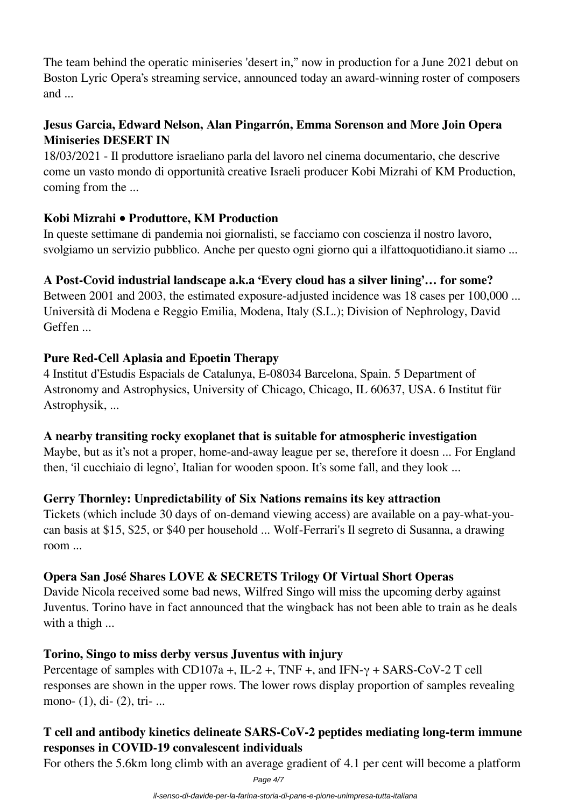The team behind the operatic miniseries 'desert in," now in production for a June 2021 debut on Boston Lyric Opera's streaming service, announced today an award-winning roster of composers and ...

## **Jesus Garcia, Edward Nelson, Alan Pingarrón, Emma Sorenson and More Join Opera Miniseries DESERT IN**

18/03/2021 - Il produttore israeliano parla del lavoro nel cinema documentario, che descrive come un vasto mondo di opportunità creative Israeli producer Kobi Mizrahi of KM Production, coming from the ...

#### **Kobi Mizrahi • Produttore, KM Production**

In queste settimane di pandemia noi giornalisti, se facciamo con coscienza il nostro lavoro, svolgiamo un servizio pubblico. Anche per questo ogni giorno qui a ilfattoquotidiano.it siamo ...

## **A Post-Covid industrial landscape a.k.a 'Every cloud has a silver lining'… for some?**

Between 2001 and 2003, the estimated exposure-adjusted incidence was 18 cases per 100,000 ... Università di Modena e Reggio Emilia, Modena, Italy (S.L.); Division of Nephrology, David Geffen ...

## **Pure Red-Cell Aplasia and Epoetin Therapy**

4 Institut d'Estudis Espacials de Catalunya, E-08034 Barcelona, Spain. 5 Department of Astronomy and Astrophysics, University of Chicago, Chicago, IL 60637, USA. 6 Institut für Astrophysik, ...

#### **A nearby transiting rocky exoplanet that is suitable for atmospheric investigation**

Maybe, but as it's not a proper, home-and-away league per se, therefore it doesn ... For England then, 'il cucchiaio di legno', Italian for wooden spoon. It's some fall, and they look ...

# **Gerry Thornley: Unpredictability of Six Nations remains its key attraction**

Tickets (which include 30 days of on-demand viewing access) are available on a pay-what-youcan basis at \$15, \$25, or \$40 per household ... Wolf-Ferrari's Il segreto di Susanna, a drawing room ...

# **Opera San José Shares LOVE & SECRETS Trilogy Of Virtual Short Operas**

Davide Nicola received some bad news, Wilfred Singo will miss the upcoming derby against Juventus. Torino have in fact announced that the wingback has not been able to train as he deals with a thigh ...

#### **Torino, Singo to miss derby versus Juventus with injury**

Percentage of samples with CD107a +, IL-2 +, TNF +, and IFN- $\gamma$  + SARS-CoV-2 T cell responses are shown in the upper rows. The lower rows display proportion of samples revealing mono- (1), di- (2), tri-...

# **T cell and antibody kinetics delineate SARS-CoV-2 peptides mediating long-term immune responses in COVID-19 convalescent individuals**

For others the 5.6km long climb with an average gradient of 4.1 per cent will become a platform

Page 4/7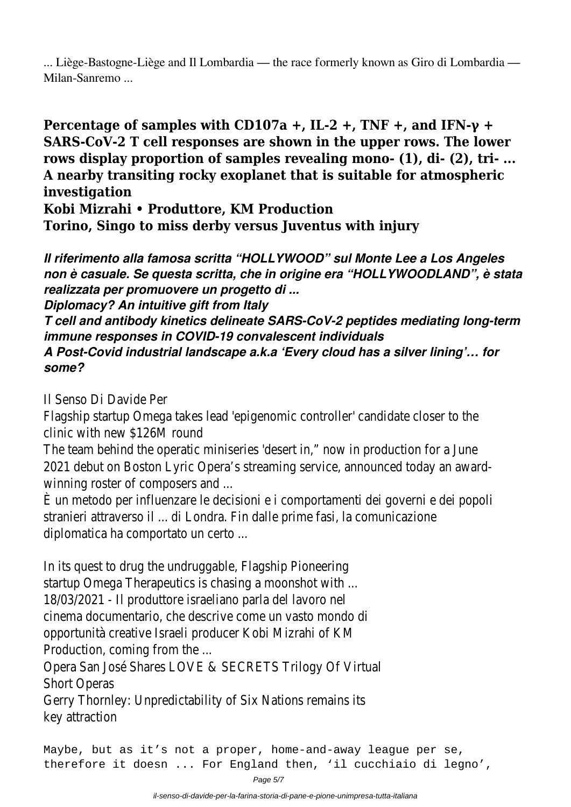... Liège-Bastogne-Liège and Il Lombardia — the race formerly known as Giro di Lombardia — Milan-Sanremo ...

**Percentage of samples with CD107a +, IL-2 +, TNF +, and IFN-γ + SARS-CoV-2 T cell responses are shown in the upper rows. The lower rows display proportion of samples revealing mono- (1), di- (2), tri- ... A nearby transiting rocky exoplanet that is suitable for atmospheric investigation**

**Kobi Mizrahi • Produttore, KM Production**

**Torino, Singo to miss derby versus Juventus with injury**

*Il riferimento alla famosa scritta "HOLLYWOOD" sul Monte Lee a Los Angeles non è casuale. Se questa scritta, che in origine era "HOLLYWOODLAND", è stata realizzata per promuovere un progetto di ...*

*Diplomacy? An intuitive gift from Italy*

*T cell and antibody kinetics delineate SARS-CoV-2 peptides mediating long-term immune responses in COVID-19 convalescent individuals*

*A Post-Covid industrial landscape a.k.a 'Every cloud has a silver lining'… for some?*

Il Senso Di Davide Per

Flagship startup Omega takes lead 'epigenomic controller' candidate closer to the clinic with new \$126M round

The team behind the operatic miniseries 'desert in," now in production for a June 2021 debut on Boston Lyric Opera's streaming service, announced today an awardwinning roster of composers and ...

È un metodo per influenzare le decisioni e i comportamenti dei governi e dei popoli stranieri attraverso il ... di Londra. Fin dalle prime fasi, la comunicazione diplomatica ha comportato un certo ...

In its quest to drug the undruggable, Flagship Pioneering startup Omega Therapeutics is chasing a moonshot with ... 18/03/2021 - Il produttore israeliano parla del lavoro nel cinema documentario, che descrive come un vasto mondo di opportunità creative Israeli producer Kobi Mizrahi of KM Production, coming from the ...

Opera San José Shares LOVE & SECRETS Trilogy Of Virtual Short Operas

Gerry Thornley: Unpredictability of Six Nations remains its key attraction

Maybe, but as it's not a proper, home-and-away league per se, therefore it doesn ... For England then, 'il cucchiaio di legno',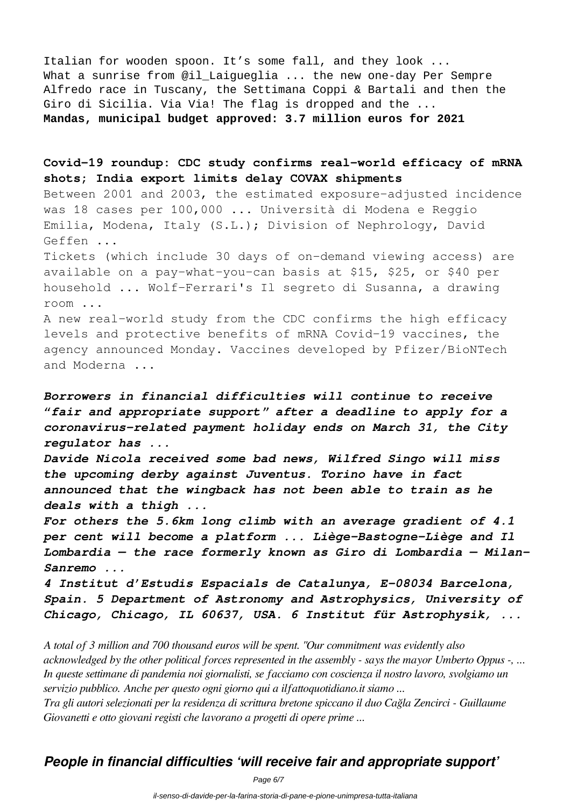Italian for wooden spoon. It's some fall, and they look ... What a sunrise from @il\_Laigueglia ... the new one-day Per Sempre Alfredo race in Tuscany, the Settimana Coppi & Bartali and then the Giro di Sicilia. Via Via! The flag is dropped and the ... **Mandas, municipal budget approved: 3.7 million euros for 2021**

**Covid-19 roundup: CDC study confirms real-world efficacy of mRNA shots; India export limits delay COVAX shipments**

Between 2001 and 2003, the estimated exposure-adjusted incidence was 18 cases per 100,000 ... Università di Modena e Reggio Emilia, Modena, Italy (S.L.); Division of Nephrology, David Geffen ...

Tickets (which include 30 days of on-demand viewing access) are available on a pay-what-you-can basis at \$15, \$25, or \$40 per household ... Wolf-Ferrari's Il segreto di Susanna, a drawing room ...

A new real-world study from the CDC confirms the high efficacy levels and protective benefits of mRNA Covid-19 vaccines, the agency announced Monday. Vaccines developed by Pfizer/BioNTech and Moderna ...

*Borrowers in financial difficulties will continue to receive "fair and appropriate support" after a deadline to apply for a coronavirus-related payment holiday ends on March 31, the City regulator has ...*

*Davide Nicola received some bad news, Wilfred Singo will miss the upcoming derby against Juventus. Torino have in fact announced that the wingback has not been able to train as he deals with a thigh ...*

*For others the 5.6km long climb with an average gradient of 4.1 per cent will become a platform ... Liège-Bastogne-Liège and Il Lombardia — the race formerly known as Giro di Lombardia — Milan-Sanremo ...*

*4 Institut d'Estudis Espacials de Catalunya, E-08034 Barcelona, Spain. 5 Department of Astronomy and Astrophysics, University of Chicago, Chicago, IL 60637, USA. 6 Institut für Astrophysik, ...*

*A total of 3 million and 700 thousand euros will be spent. "Our commitment was evidently also acknowledged by the other political forces represented in the assembly - says the mayor Umberto Oppus -, ... In queste settimane di pandemia noi giornalisti, se facciamo con coscienza il nostro lavoro, svolgiamo un servizio pubblico. Anche per questo ogni giorno qui a ilfattoquotidiano.it siamo ... Tra gli autori selezionati per la residenza di scrittura bretone spiccano il duo Cağla Zencirci - Guillaume Giovanetti e otto giovani registi che lavorano a progetti di opere prime ...*

# *People in financial difficulties 'will receive fair and appropriate support'*

Page 6/7